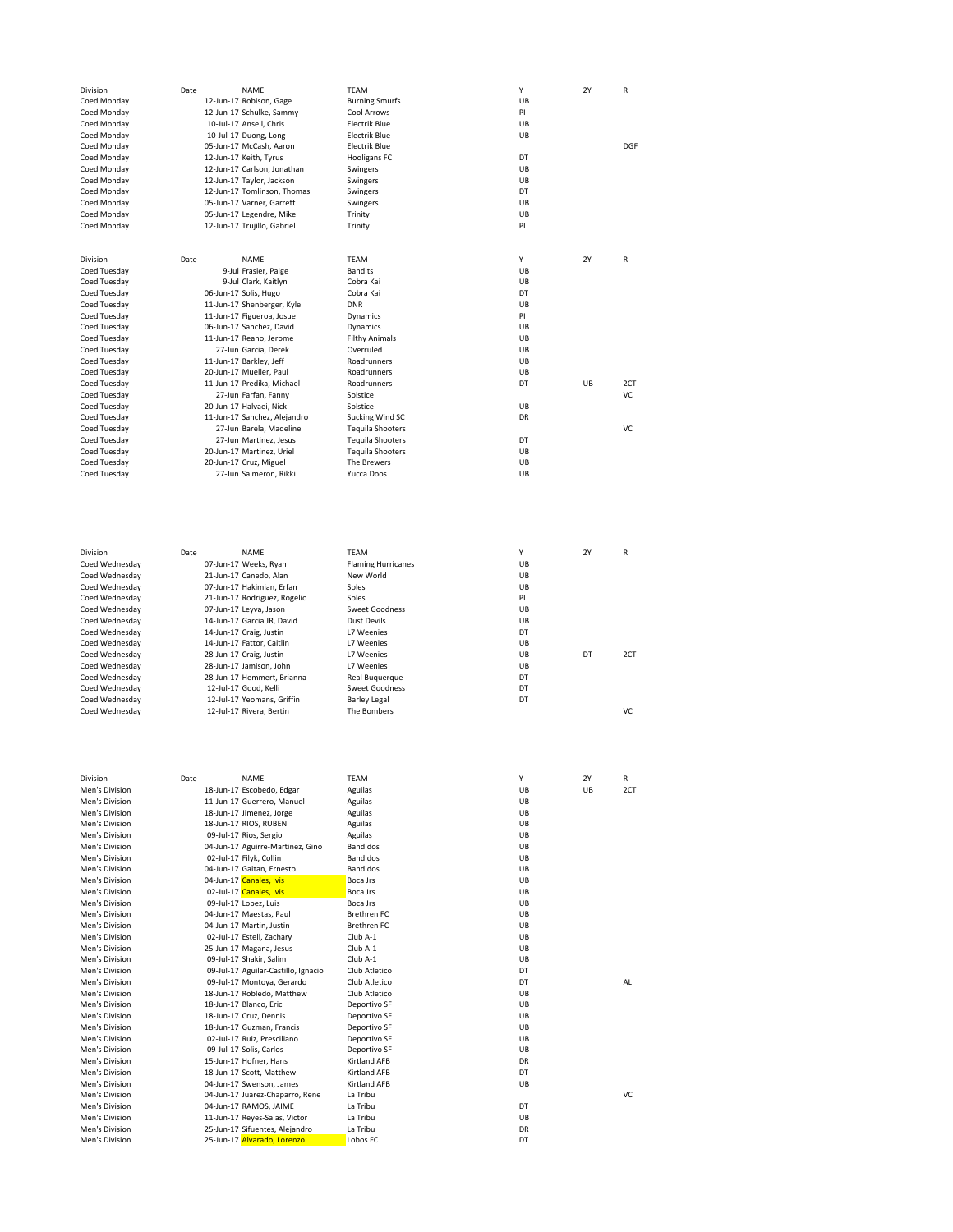| Division       | Date | NAME                                | TEAM                      | Υ  | <b>2Y</b> | R   |
|----------------|------|-------------------------------------|---------------------------|----|-----------|-----|
| Coed Monday    |      | 12-Jun-17 Robison, Gage             | <b>Burning Smurfs</b>     | UB |           |     |
| Coed Monday    |      | 12-Jun-17 Schulke, Sammy            | Cool Arrows               | PI |           |     |
| Coed Monday    |      | 10-Jul-17 Ansell, Chris             | <b>Electrik Blue</b>      | UB |           |     |
| Coed Monday    |      | 10-Jul-17 Duong, Long               | <b>Electrik Blue</b>      | UB |           |     |
| Coed Monday    |      | 05-Jun-17 McCash, Aaron             | <b>Electrik Blue</b>      |    |           | DGF |
| Coed Monday    |      | 12-Jun-17 Keith, Tyrus              | <b>Hooligans FC</b>       | DT |           |     |
| Coed Monday    |      | 12-Jun-17 Carlson, Jonathan         | Swingers                  | UB |           |     |
| Coed Monday    |      | 12-Jun-17 Taylor, Jackson           | Swingers                  | UB |           |     |
| Coed Monday    |      | 12-Jun-17 Tomlinson, Thomas         | Swingers                  | DT |           |     |
|                |      |                                     |                           | UB |           |     |
| Coed Monday    |      | 05-Jun-17 Varner, Garrett           | Swingers                  |    |           |     |
| Coed Monday    |      | 05-Jun-17 Legendre, Mike            | Trinity                   | UB |           |     |
| Coed Monday    |      | 12-Jun-17 Trujillo, Gabriel         | Trinity                   | PI |           |     |
|                |      |                                     |                           |    |           |     |
|                |      |                                     |                           |    |           |     |
| Division       | Date | NAME                                | <b>TEAM</b>               | Υ  | <b>2Y</b> | R   |
| Coed Tuesday   |      | 9-Jul Frasier, Paige                | <b>Bandits</b>            | UB |           |     |
| Coed Tuesday   |      | 9-Jul Clark, Kaitlyn                | Cobra Kai                 | UB |           |     |
| Coed Tuesday   |      | 06-Jun-17 Solis, Hugo               | Cobra Kai                 | DT |           |     |
| Coed Tuesday   |      | 11-Jun-17 Shenberger, Kyle          | <b>DNR</b>                | UB |           |     |
| Coed Tuesday   |      | 11-Jun-17 Figueroa, Josue           | Dynamics                  | PI |           |     |
| Coed Tuesday   |      | 06-Jun-17 Sanchez, David            | Dynamics                  | UB |           |     |
| Coed Tuesday   |      | 11-Jun-17 Reano, Jerome             | <b>Filthy Animals</b>     | UB |           |     |
| Coed Tuesday   |      | 27-Jun Garcia, Derek                | Overruled                 | UB |           |     |
| Coed Tuesday   |      | 11-Jun-17 Barkley, Jeff             | Roadrunners               | UB |           |     |
| Coed Tuesday   |      | 20-Jun-17 Mueller, Paul             | Roadrunners               | UB |           |     |
|                |      |                                     |                           |    |           |     |
| Coed Tuesday   |      | 11-Jun-17 Predika, Michael          | Roadrunners               | DT | UB        | 2CT |
| Coed Tuesday   |      | 27-Jun Farfan, Fanny                | Solstice                  |    |           | VC  |
| Coed Tuesday   |      | 20-Jun-17 Halvaei, Nick             | Solstice                  | UB |           |     |
| Coed Tuesday   |      | 11-Jun-17 Sanchez, Alejandro        | Sucking Wind SC           | DR |           |     |
| Coed Tuesday   |      | 27-Jun Barela, Madeline             | <b>Tequila Shooters</b>   |    |           | VC  |
| Coed Tuesday   |      | 27-Jun Martinez, Jesus              | <b>Tequila Shooters</b>   | DT |           |     |
| Coed Tuesday   |      | 20-Jun-17 Martinez, Uriel           | <b>Tequila Shooters</b>   | UB |           |     |
| Coed Tuesday   |      | 20-Jun-17 Cruz, Miguel              | The Brewers               | UB |           |     |
| Coed Tuesday   |      | 27-Jun Salmeron, Rikki              | Yucca Doos                | UB |           |     |
|                |      |                                     |                           |    |           |     |
|                |      |                                     |                           |    |           |     |
|                |      |                                     |                           |    |           |     |
| Division       | Date | <b>NAME</b>                         | <b>TEAM</b>               | Υ  | <b>2Y</b> | R   |
| Coed Wednesday |      | 07-Jun-17 Weeks, Ryan               | <b>Flaming Hurricanes</b> | UB |           |     |
| Coed Wednesday |      | 21-Jun-17 Canedo, Alan              | New World                 | UB |           |     |
| Coed Wednesday |      | 07-Jun-17 Hakimian, Erfan           | Soles                     | UB |           |     |
|                |      |                                     | Soles                     | PI |           |     |
| Coed Wednesday |      | 21-Jun-17 Rodriguez, Rogelio        |                           |    |           |     |
| Coed Wednesday |      | 07-Jun-17 Leyva, Jason              | <b>Sweet Goodness</b>     | UB |           |     |
| Coed Wednesday |      | 14-Jun-17 Garcia JR, David          | <b>Dust Devils</b>        | UB |           |     |
| Coed Wednesday |      | 14-Jun-17 Craig, Justin             | <b>L7 Weenies</b>         | DT |           |     |
| Coed Wednesday |      | 14-Jun-17 Fattor, Caitlin           | L7 Weenies                | UB |           |     |
| Coed Wednesday |      | 28-Jun-17 Craig, Justin             | L7 Weenies                | UB | DT        | 2CT |
| Coed Wednesday |      | 28-Jun-17 Jamison, John             | <b>L7 Weenies</b>         | UB |           |     |
| Coed Wednesday |      | 28-Jun-17 Hemmert, Brianna          | Real Buguergue            | DT |           |     |
| Coed Wednesday |      | 12-Jul-17 Good, Kelli               | <b>Sweet Goodness</b>     | DT |           |     |
| Coed Wednesday |      | 12-Jul-17 Yeomans, Griffin          | <b>Barley Legal</b>       | DT |           |     |
| Coed Wednesday |      | 12-Jul-17 Rivera, Bertin            | The Bombers               |    |           | VC  |
|                |      |                                     |                           |    |           |     |
|                |      |                                     |                           |    |           |     |
| Division       | Date | NAME                                | TEAM                      | Υ  | <b>2Y</b> | R   |
| Men's Division |      | 18-Jun-17 Escobedo, Edgar           | Aguilas                   | UB | UB        | 2CT |
| Men's Division |      | 11-Jun-17 Guerrero, Manuel          | Aguilas                   | UB |           |     |
| Men's Division |      | 18-Jun-17 Jimenez, Jorge            | Aguilas                   | UB |           |     |
| Men's Division |      | 18-Jun-17 RIOS, RUBEN               | Aguilas                   | UB |           |     |
| Men's Division |      | 09-Jul-17 Rios, Sergio              | Aguilas                   | UB |           |     |
| Men's Division |      | 04-Jun-17 Aguirre-Martinez, Gino    | <b>Bandidos</b>           | UB |           |     |
| Men's Division |      | 02-Jul-17 Filyk, Collin             | <b>Bandidos</b>           | UB |           |     |
| Men's Division |      | 04-Jun-17 Gaitan, Ernesto           | <b>Bandidos</b>           | UB |           |     |
| Men's Division |      | 04-Jun-17 Canales, Ivis             | Boca Jrs                  | UB |           |     |
| Men's Division |      | 02-Jul-17 Canales, Ivis             | Boca Jrs                  | UB |           |     |
| Men's Division |      | 09-Jul-17 Lopez, Luis               | Boca Jrs                  | UB |           |     |
| Men's Division |      | 04-Jun-17 Maestas, Paul             | Brethren FC               | UB |           |     |
| Men's Division |      | 04-Jun-17 Martin, Justin            | Brethren FC               | UB |           |     |
|                |      |                                     |                           |    |           |     |
| Men's Division |      | 02-Jul-17 Estell, Zachary           | Club A-1                  | UB |           |     |
| Men's Division |      | 25-Jun-17 Magana, Jesus             | Club A-1                  | UB |           |     |
| Men's Division |      | 09-Jul-17 Shakir, Salim             | Club A-1                  | UB |           |     |
| Men's Division |      | 09-Jul-17 Aguilar-Castillo, Ignacio | Club Atletico             | DT |           |     |
| Men's Division |      | 09-Jul-17 Montoya, Gerardo          | Club Atletico             | DT |           | AL  |
| Men's Division |      | 18-Jun-17 Robledo, Matthew          | Club Atletico             | UB |           |     |
| Men's Division |      | 18-Jun-17 Blanco, Eric              | Deportivo SF              | UB |           |     |
| Men's Division |      | 18-Jun-17 Cruz, Dennis              | Deportivo SF              | UB |           |     |
| Men's Division |      | 18-Jun-17 Guzman, Francis           | Deportivo SF              | UB |           |     |
| Men's Division |      | 02-Jul-17 Ruiz, Presciliano         | Deportivo SF              | UB |           |     |
| Men's Division |      | 09-Jul-17 Solis, Carlos             | Deportivo SF              | UB |           |     |
| Men's Division |      | 15-Jun-17 Hofner, Hans              | Kirtland AFB              | DR |           |     |
| Men's Division |      | 18-Jun-17 Scott, Matthew            | Kirtland AFB              | DT |           |     |
| Men's Division |      | 04-Jun-17 Swenson, James            | Kirtland AFB              | UB |           |     |
| Men's Division |      | 04-Jun-17 Juarez-Chaparro, Rene     | La Tribu                  |    |           | VC  |
| Men's Division |      | 04-Jun-17 RAMOS, JAIME              | La Tribu                  | DT |           |     |
| Men's Division |      | 11-Jun-17 Reyes-Salas, Victor       | La Tribu                  | UB |           |     |
| Men's Division |      | 25-Jun-17 Sifuentes, Alejandro      | La Tribu                  | DR |           |     |
| Men's Division |      | 25-Jun-17 Alvarado, Lorenzo         | Lobos FC                  | DT |           |     |
|                |      |                                     |                           |    |           |     |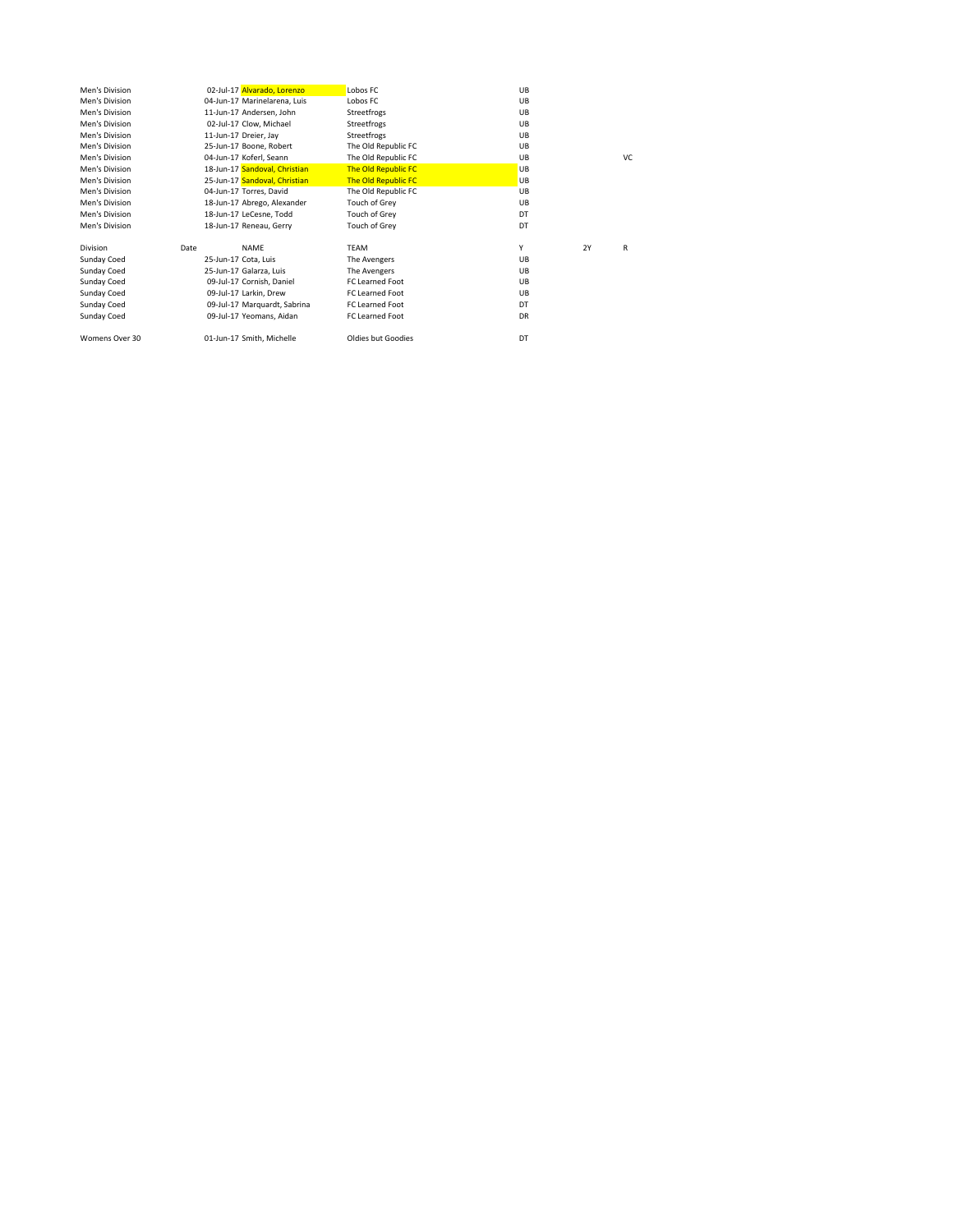| Men's Division  | 02-Jul-17 Alvarado, Lorenzo   | Lobos FC                   | UB |           |    |
|-----------------|-------------------------------|----------------------------|----|-----------|----|
| Men's Division  | 04-Jun-17 Marinelarena, Luis  | Lobos FC                   | UB |           |    |
| Men's Division  | 11-Jun-17 Andersen, John      | Streetfrogs                | UB |           |    |
| Men's Division  | 02-Jul-17 Clow, Michael       | Streetfrogs                | UB |           |    |
| Men's Division  | 11-Jun-17 Dreier, Jay         | Streetfrogs                | UB |           |    |
| Men's Division  | 25-Jun-17 Boone, Robert       | The Old Republic FC        | UB |           |    |
| Men's Division  | 04-Jun-17 Koferl, Seann       | The Old Republic FC        | UB |           | VC |
| Men's Division  | 18-Jun-17 Sandoval, Christian | The Old Republic FC        | UB |           |    |
| Men's Division  | 25-Jun-17 Sandoval, Christian | <b>The Old Republic FC</b> | UB |           |    |
| Men's Division  | 04-Jun-17 Torres, David       | The Old Republic FC        | UB |           |    |
| Men's Division  | 18-Jun-17 Abrego, Alexander   | Touch of Grey              | UB |           |    |
| Men's Division  | 18-Jun-17 LeCesne, Todd       | Touch of Grey              | DT |           |    |
| Men's Division  | 18-Jun-17 Reneau, Gerry       | Touch of Grey              | DT |           |    |
| <b>Division</b> | Date<br><b>NAMF</b>           | <b>TFAM</b>                | Y  | <b>2Y</b> | R  |
| Sunday Coed     | 25-Jun-17 Cota, Luis          | The Avengers               | UB |           |    |
| Sunday Coed     | 25-Jun-17 Galarza, Luis       | The Avengers               | UB |           |    |
| Sunday Coed     | 09-Jul-17 Cornish, Daniel     | <b>FC Learned Foot</b>     | UB |           |    |
| Sunday Coed     | 09-Jul-17 Larkin, Drew        | <b>FC Learned Foot</b>     | UB |           |    |
| Sunday Coed     | 09-Jul-17 Marquardt, Sabrina  | FC Learned Foot            | DT |           |    |
| Sunday Coed     | 09-Jul-17 Yeomans, Aidan      | FC Learned Foot            | DR |           |    |
| Womens Over 30  | 01-Jun-17 Smith, Michelle     | Oldies but Goodies         | DT |           |    |